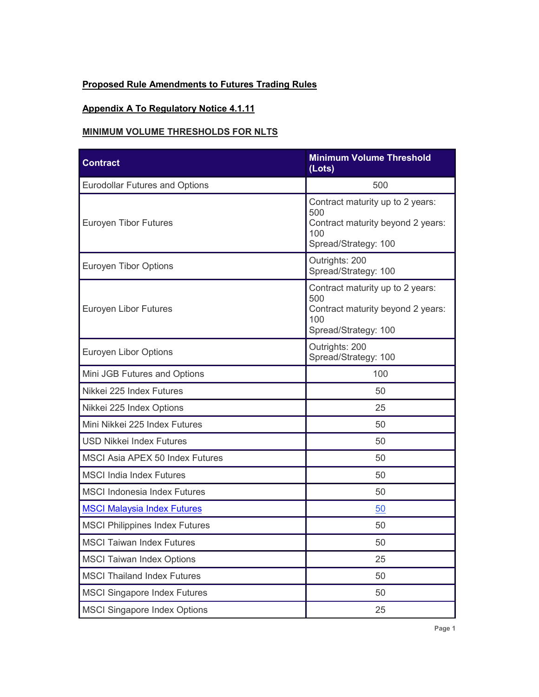## **Proposed Rule Amendments to Futures Trading Rules**

## **Appendix A To Regulatory Notice 4.1.11**

#### **MINIMUM VOLUME THRESHOLDS FOR NLTS**

| <b>Contract</b>                        | <b>Minimum Volume Threshold</b><br>(Lots)                                                                   |
|----------------------------------------|-------------------------------------------------------------------------------------------------------------|
| <b>Eurodollar Futures and Options</b>  | 500                                                                                                         |
| Euroyen Tibor Futures                  | Contract maturity up to 2 years:<br>500<br>Contract maturity beyond 2 years:<br>100<br>Spread/Strategy: 100 |
| <b>Euroyen Tibor Options</b>           | Outrights: 200<br>Spread/Strategy: 100                                                                      |
| Euroyen Libor Futures                  | Contract maturity up to 2 years:<br>500<br>Contract maturity beyond 2 years:<br>100<br>Spread/Strategy: 100 |
| Euroyen Libor Options                  | Outrights: 200<br>Spread/Strategy: 100                                                                      |
| Mini JGB Futures and Options           | 100                                                                                                         |
| Nikkei 225 Index Futures               | 50                                                                                                          |
| Nikkei 225 Index Options               | 25                                                                                                          |
| Mini Nikkei 225 Index Futures          | 50                                                                                                          |
| <b>USD Nikkei Index Futures</b>        | 50                                                                                                          |
| <b>MSCI Asia APEX 50 Index Futures</b> | 50                                                                                                          |
| <b>MSCI India Index Futures</b>        | 50                                                                                                          |
| <b>MSCI Indonesia Index Futures</b>    | 50                                                                                                          |
| <b>MSCI Malaysia Index Futures</b>     | 50                                                                                                          |
| <b>MSCI Philippines Index Futures</b>  | 50                                                                                                          |
| <b>MSCI Taiwan Index Futures</b>       | 50                                                                                                          |
| <b>MSCI Taiwan Index Options</b>       | 25                                                                                                          |
| <b>MSCI Thailand Index Futures</b>     | 50                                                                                                          |
| <b>MSCI Singapore Index Futures</b>    | 50                                                                                                          |
| <b>MSCI Singapore Index Options</b>    | 25                                                                                                          |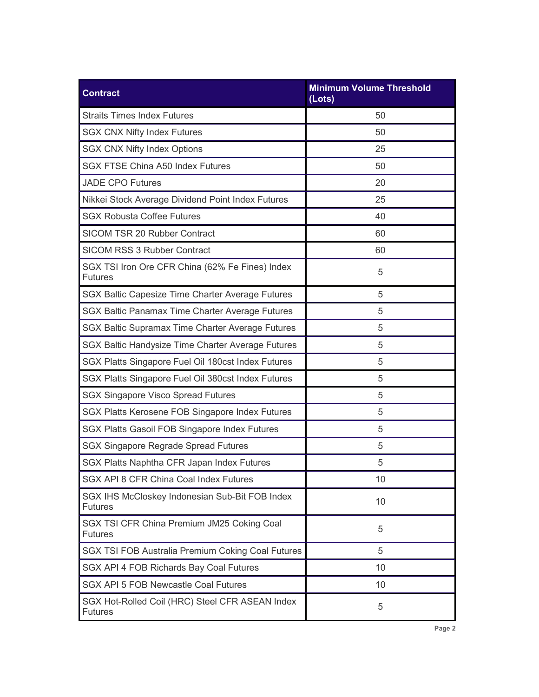| <b>Contract</b>                                                   | <b>Minimum Volume Threshold</b><br>(Lots) |  |
|-------------------------------------------------------------------|-------------------------------------------|--|
| <b>Straits Times Index Futures</b>                                | 50                                        |  |
| <b>SGX CNX Nifty Index Futures</b>                                | 50                                        |  |
| <b>SGX CNX Nifty Index Options</b>                                | 25                                        |  |
| <b>SGX FTSE China A50 Index Futures</b>                           | 50                                        |  |
| <b>JADE CPO Futures</b>                                           | 20                                        |  |
| Nikkei Stock Average Dividend Point Index Futures                 | 25                                        |  |
| <b>SGX Robusta Coffee Futures</b>                                 | 40                                        |  |
| SICOM TSR 20 Rubber Contract                                      | 60                                        |  |
| <b>SICOM RSS 3 Rubber Contract</b>                                | 60                                        |  |
| SGX TSI Iron Ore CFR China (62% Fe Fines) Index<br><b>Futures</b> | 5                                         |  |
| SGX Baltic Capesize Time Charter Average Futures                  | 5                                         |  |
| SGX Baltic Panamax Time Charter Average Futures                   | 5                                         |  |
| SGX Baltic Supramax Time Charter Average Futures                  | 5                                         |  |
| SGX Baltic Handysize Time Charter Average Futures                 | 5                                         |  |
| SGX Platts Singapore Fuel Oil 180cst Index Futures                | 5                                         |  |
| SGX Platts Singapore Fuel Oil 380cst Index Futures                | 5                                         |  |
| <b>SGX Singapore Visco Spread Futures</b>                         | 5                                         |  |
| SGX Platts Kerosene FOB Singapore Index Futures                   | 5                                         |  |
| SGX Platts Gasoil FOB Singapore Index Futures                     | 5                                         |  |
| <b>SGX Singapore Regrade Spread Futures</b>                       | 5                                         |  |
| SGX Platts Naphtha CFR Japan Index Futures                        | 5                                         |  |
| SGX API 8 CFR China Coal Index Futures                            | 10                                        |  |
| SGX IHS McCloskey Indonesian Sub-Bit FOB Index<br><b>Futures</b>  | 10                                        |  |
| SGX TSI CFR China Premium JM25 Coking Coal<br><b>Futures</b>      | 5                                         |  |
| SGX TSI FOB Australia Premium Coking Coal Futures                 | 5                                         |  |
| SGX API 4 FOB Richards Bay Coal Futures                           | 10                                        |  |
| SGX API 5 FOB Newcastle Coal Futures                              | 10                                        |  |
| SGX Hot-Rolled Coil (HRC) Steel CFR ASEAN Index<br><b>Futures</b> | 5                                         |  |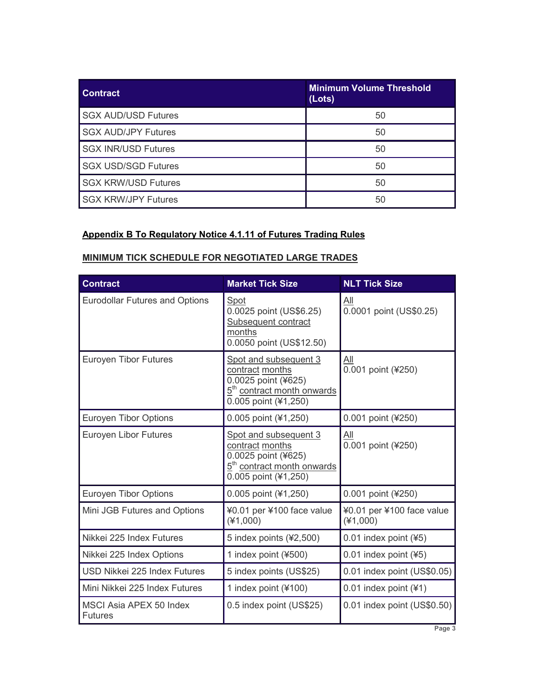| <b>Contract</b>            | <b>Minimum Volume Threshold</b><br>(Lots) |
|----------------------------|-------------------------------------------|
| <b>SGX AUD/USD Futures</b> | 50                                        |
| <b>SGX AUD/JPY Futures</b> | 50                                        |
| <b>SGX INR/USD Futures</b> | 50                                        |
| <b>SGX USD/SGD Futures</b> | 50                                        |
| <b>SGX KRW/USD Futures</b> | 50                                        |
| <b>SGX KRW/JPY Futures</b> | 50                                        |

## **Appendix B To Regulatory Notice 4.1.11 of Futures Trading Rules**

# **MINIMUM TICK SCHEDULE FOR NEGOTIATED LARGE TRADES**

| <b>Contract</b>                           | <b>Market Tick Size</b>                                                                                                           | <b>NLT Tick Size</b>                    |
|-------------------------------------------|-----------------------------------------------------------------------------------------------------------------------------------|-----------------------------------------|
| <b>Eurodollar Futures and Options</b>     | Spot<br>0.0025 point (US\$6.25)<br>Subsequent contract<br>months<br>0.0050 point (US\$12.50)                                      | All<br>0.0001 point (US\$0.25)          |
| <b>Euroyen Tibor Futures</b>              | Spot and subsequent 3<br>contract months<br>0.0025 point (¥625)<br>5 <sup>th</sup> contract month onwards<br>0.005 point (¥1,250) | <u>All</u><br>0.001 point (¥250)        |
| <b>Euroyen Tibor Options</b>              | 0.005 point (¥1,250)                                                                                                              | 0.001 point (¥250)                      |
| Euroyen Libor Futures                     | Spot and subsequent 3<br>contract months<br>0.0025 point (¥625)<br>5 <sup>th</sup> contract month onwards<br>0.005 point (¥1,250) | <u>aii</u><br>0.001 point (¥250)        |
| <b>Euroyen Tibor Options</b>              | 0.005 point (¥1,250)                                                                                                              | 0.001 point (¥250)                      |
| Mini JGB Futures and Options              | ¥0.01 per ¥100 face value<br>$(*1,000)$                                                                                           | ¥0.01 per ¥100 face value<br>$(*1,000)$ |
| Nikkei 225 Index Futures                  | 5 index points (¥2,500)                                                                                                           | $0.01$ index point (¥5)                 |
| Nikkei 225 Index Options                  | 1 index point (¥500)                                                                                                              | $0.01$ index point (¥5)                 |
| USD Nikkei 225 Index Futures              | 5 index points (US\$25)                                                                                                           | 0.01 index point (US\$0.05)             |
| Mini Nikkei 225 Index Futures             | 1 index point (¥100)                                                                                                              | 0.01 index point (¥1)                   |
| MSCI Asia APEX 50 Index<br><b>Futures</b> | 0.5 index point (US\$25)                                                                                                          | 0.01 index point (US\$0.50)             |

**Page 3**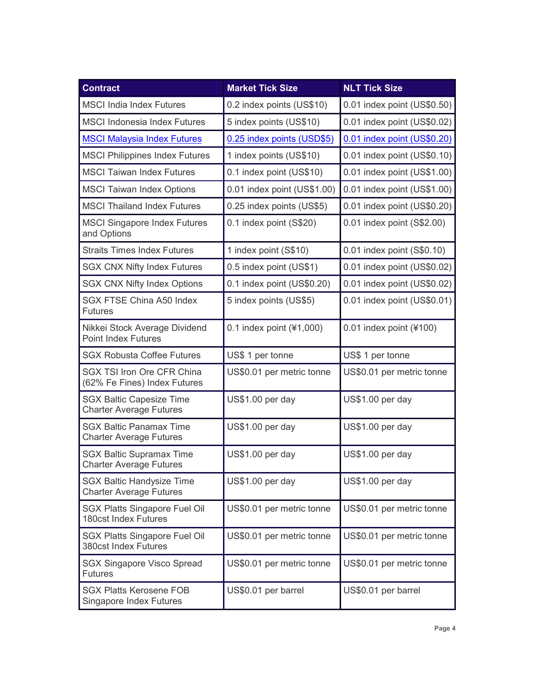| <b>Contract</b>                                                    | <b>Market Tick Size</b>     | <b>NLT Tick Size</b>        |
|--------------------------------------------------------------------|-----------------------------|-----------------------------|
| <b>MSCI India Index Futures</b>                                    | 0.2 index points (US\$10)   | 0.01 index point (US\$0.50) |
| <b>MSCI Indonesia Index Futures</b>                                | 5 index points (US\$10)     | 0.01 index point (US\$0.02) |
| <b>MSCI Malaysia Index Futures</b>                                 | 0.25 index points (USD\$5)  | 0.01 index point (US\$0.20) |
| <b>MSCI Philippines Index Futures</b>                              | 1 index points (US\$10)     | 0.01 index point (US\$0.10) |
| <b>MSCI Taiwan Index Futures</b>                                   | 0.1 index point (US\$10)    | 0.01 index point (US\$1.00) |
| <b>MSCI Taiwan Index Options</b>                                   | 0.01 index point (US\$1.00) | 0.01 index point (US\$1.00) |
| <b>MSCI Thailand Index Futures</b>                                 | 0.25 index points (US\$5)   | 0.01 index point (US\$0.20) |
| <b>MSCI Singapore Index Futures</b><br>and Options                 | 0.1 index point (S\$20)     | 0.01 index point (S\$2.00)  |
| <b>Straits Times Index Futures</b>                                 | 1 index point (S\$10)       | 0.01 index point (S\$0.10)  |
| <b>SGX CNX Nifty Index Futures</b>                                 | 0.5 index point (US\$1)     | 0.01 index point (US\$0.02) |
| <b>SGX CNX Nifty Index Options</b>                                 | 0.1 index point (US\$0.20)  | 0.01 index point (US\$0.02) |
| <b>SGX FTSE China A50 Index</b><br><b>Futures</b>                  | 5 index points (US\$5)      | 0.01 index point (US\$0.01) |
| Nikkei Stock Average Dividend<br><b>Point Index Futures</b>        | 0.1 index point $(41,000)$  | $0.01$ index point (¥100)   |
| <b>SGX Robusta Coffee Futures</b>                                  | US\$ 1 per tonne            | US\$ 1 per tonne            |
| <b>SGX TSI Iron Ore CFR China</b><br>(62% Fe Fines) Index Futures  | US\$0.01 per metric tonne   | US\$0.01 per metric tonne   |
| <b>SGX Baltic Capesize Time</b><br><b>Charter Average Futures</b>  | US\$1.00 per day            | US\$1.00 per day            |
| <b>SGX Baltic Panamax Time</b><br><b>Charter Average Futures</b>   | US\$1.00 per day            | US\$1.00 per day            |
| <b>SGX Baltic Supramax Time</b><br><b>Charter Average Futures</b>  | US\$1.00 per day            | US\$1.00 per day            |
| <b>SGX Baltic Handysize Time</b><br><b>Charter Average Futures</b> | US\$1.00 per day            | US\$1.00 per day            |
| <b>SGX Platts Singapore Fuel Oil</b><br>180cst Index Futures       | US\$0.01 per metric tonne   | US\$0.01 per metric tonne   |
| <b>SGX Platts Singapore Fuel Oil</b><br>380cst Index Futures       | US\$0.01 per metric tonne   | US\$0.01 per metric tonne   |
| <b>SGX Singapore Visco Spread</b><br><b>Futures</b>                | US\$0.01 per metric tonne   | US\$0.01 per metric tonne   |
| <b>SGX Platts Kerosene FOB</b><br><b>Singapore Index Futures</b>   | US\$0.01 per barrel         | US\$0.01 per barrel         |